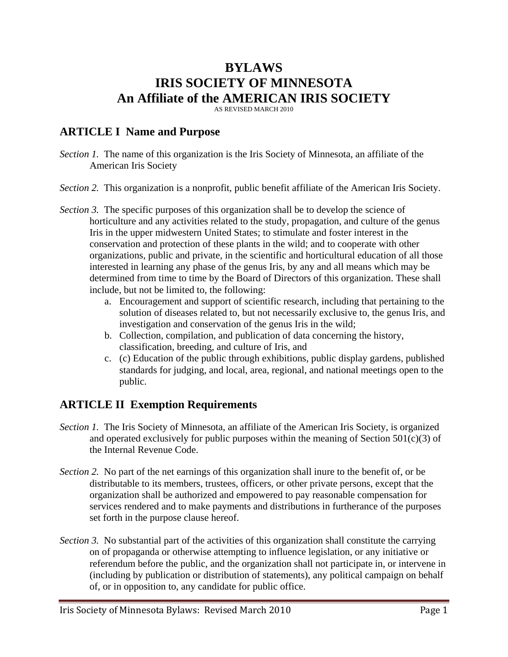# **BYLAWS IRIS SOCIETY OF MINNESOTA An Affiliate of the AMERICAN IRIS SOCIETY**

AS REVISED MARCH 2010

## **ARTICLE I Name and Purpose**

- *Section 1.* The name of this organization is the Iris Society of Minnesota, an affiliate of the American Iris Society
- *Section 2.* This organization is a nonprofit, public benefit affiliate of the American Iris Society.
- *Section 3.* The specific purposes of this organization shall be to develop the science of horticulture and any activities related to the study, propagation, and culture of the genus Iris in the upper midwestern United States; to stimulate and foster interest in the conservation and protection of these plants in the wild; and to cooperate with other organizations, public and private, in the scientific and horticultural education of all those interested in learning any phase of the genus Iris, by any and all means which may be determined from time to time by the Board of Directors of this organization. These shall include, but not be limited to, the following:
	- a. Encouragement and support of scientific research, including that pertaining to the solution of diseases related to, but not necessarily exclusive to, the genus Iris, and investigation and conservation of the genus Iris in the wild;
	- b. Collection, compilation, and publication of data concerning the history, classification, breeding, and culture of Iris, and
	- c. (c) Education of the public through exhibitions, public display gardens, published standards for judging, and local, area, regional, and national meetings open to the public.

## **ARTICLE II Exemption Requirements**

- *Section 1.* The Iris Society of Minnesota, an affiliate of the American Iris Society, is organized and operated exclusively for public purposes within the meaning of Section  $501(c)(3)$  of the Internal Revenue Code.
- *Section 2.* No part of the net earnings of this organization shall inure to the benefit of, or be distributable to its members, trustees, officers, or other private persons, except that the organization shall be authorized and empowered to pay reasonable compensation for services rendered and to make payments and distributions in furtherance of the purposes set forth in the purpose clause hereof.
- *Section 3.* No substantial part of the activities of this organization shall constitute the carrying on of propaganda or otherwise attempting to influence legislation, or any initiative or referendum before the public, and the organization shall not participate in, or intervene in (including by publication or distribution of statements), any political campaign on behalf of, or in opposition to, any candidate for public office.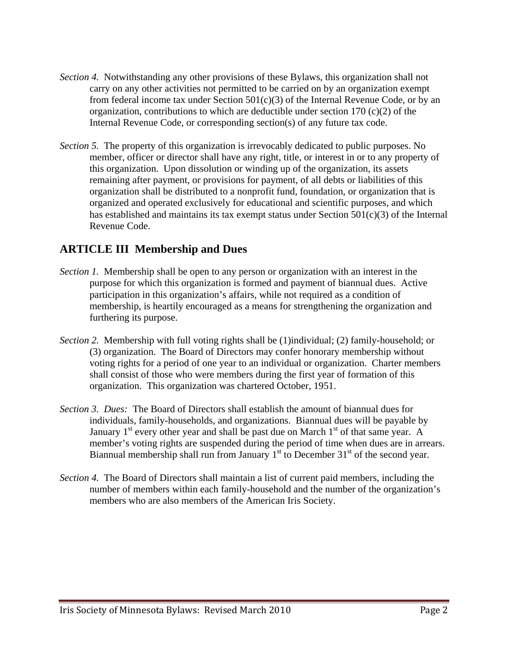- *Section 4.* Notwithstanding any other provisions of these Bylaws, this organization shall not carry on any other activities not permitted to be carried on by an organization exempt from federal income tax under Section  $501(c)(3)$  of the Internal Revenue Code, or by an organization, contributions to which are deductible under section  $170 \text{ (c)}(2)$  of the Internal Revenue Code, or corresponding section(s) of any future tax code.
- *Section 5.* The property of this organization is irrevocably dedicated to public purposes. No member, officer or director shall have any right, title, or interest in or to any property of this organization. Upon dissolution or winding up of the organization, its assets remaining after payment, or provisions for payment, of all debts or liabilities of this organization shall be distributed to a nonprofit fund, foundation, or organization that is organized and operated exclusively for educational and scientific purposes, and which has established and maintains its tax exempt status under Section 501(c)(3) of the Internal Revenue Code.

#### **ARTICLE III Membership and Dues**

- *Section 1.* Membership shall be open to any person or organization with an interest in the purpose for which this organization is formed and payment of biannual dues. Active participation in this organization's affairs, while not required as a condition of membership, is heartily encouraged as a means for strengthening the organization and furthering its purpose.
- *Section 2.* Membership with full voting rights shall be (1)individual; (2) family-household; or (3) organization. The Board of Directors may confer honorary membership without voting rights for a period of one year to an individual or organization. Charter members shall consist of those who were members during the first year of formation of this organization. This organization was chartered October, 1951.
- *Section 3. Dues:* The Board of Directors shall establish the amount of biannual dues for individuals, family-households, and organizations. Biannual dues will be payable by January  $1<sup>st</sup>$  every other year and shall be past due on March  $1<sup>st</sup>$  of that same year. A member's voting rights are suspended during the period of time when dues are in arrears. Biannual membership shall run from January  $1<sup>st</sup>$  to December  $31<sup>st</sup>$  of the second year.
- *Section 4.* The Board of Directors shall maintain a list of current paid members, including the number of members within each family-household and the number of the organization's members who are also members of the American Iris Society.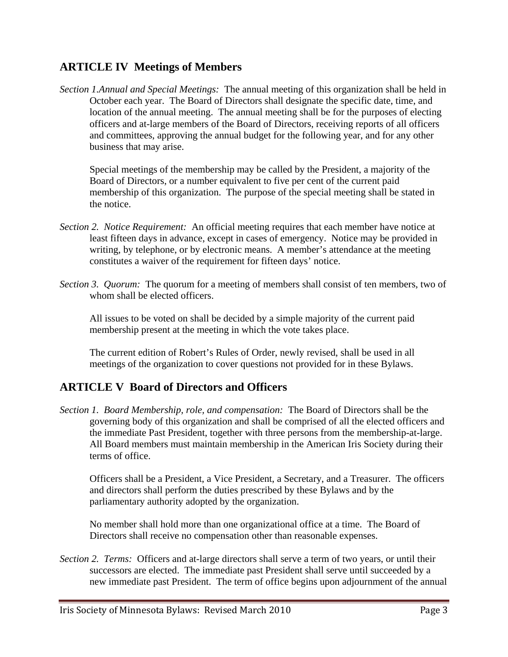#### **ARTICLE IV Meetings of Members**

*Section 1.Annual and Special Meetings:* The annual meeting of this organization shall be held in October each year. The Board of Directors shall designate the specific date, time, and location of the annual meeting. The annual meeting shall be for the purposes of electing officers and at-large members of the Board of Directors, receiving reports of all officers and committees, approving the annual budget for the following year, and for any other business that may arise.

Special meetings of the membership may be called by the President, a majority of the Board of Directors, or a number equivalent to five per cent of the current paid membership of this organization. The purpose of the special meeting shall be stated in the notice.

- *Section 2. Notice Requirement:* An official meeting requires that each member have notice at least fifteen days in advance, except in cases of emergency. Notice may be provided in writing, by telephone, or by electronic means. A member's attendance at the meeting constitutes a waiver of the requirement for fifteen days' notice.
- *Section 3. Quorum:* The quorum for a meeting of members shall consist of ten members, two of whom shall be elected officers.

All issues to be voted on shall be decided by a simple majority of the current paid membership present at the meeting in which the vote takes place.

The current edition of Robert's Rules of Order, newly revised, shall be used in all meetings of the organization to cover questions not provided for in these Bylaws.

## **ARTICLE V Board of Directors and Officers**

*Section 1. Board Membership, role, and compensation:* The Board of Directors shall be the governing body of this organization and shall be comprised of all the elected officers and the immediate Past President, together with three persons from the membership-at-large. All Board members must maintain membership in the American Iris Society during their terms of office.

Officers shall be a President, a Vice President, a Secretary, and a Treasurer. The officers and directors shall perform the duties prescribed by these Bylaws and by the parliamentary authority adopted by the organization.

No member shall hold more than one organizational office at a time. The Board of Directors shall receive no compensation other than reasonable expenses.

*Section 2. Terms:* Officers and at-large directors shall serve a term of two years, or until their successors are elected. The immediate past President shall serve until succeeded by a new immediate past President. The term of office begins upon adjournment of the annual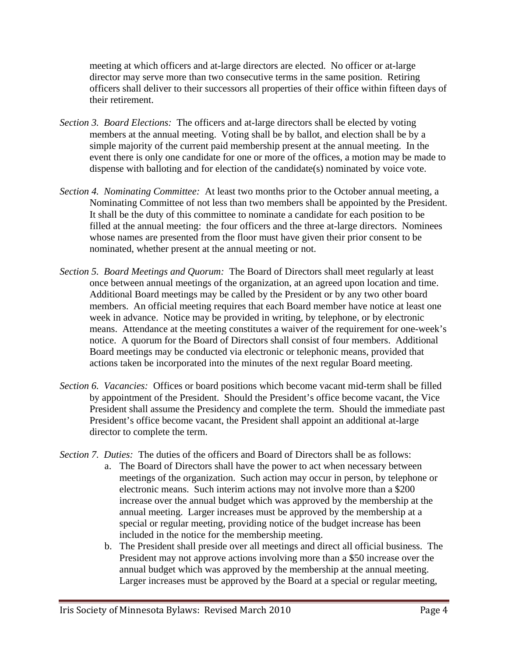meeting at which officers and at-large directors are elected. No officer or at-large director may serve more than two consecutive terms in the same position. Retiring officers shall deliver to their successors all properties of their office within fifteen days of their retirement.

- *Section 3. Board Elections:* The officers and at-large directors shall be elected by voting members at the annual meeting. Voting shall be by ballot, and election shall be by a simple majority of the current paid membership present at the annual meeting. In the event there is only one candidate for one or more of the offices, a motion may be made to dispense with balloting and for election of the candidate(s) nominated by voice vote.
- *Section 4. Nominating Committee:* At least two months prior to the October annual meeting, a Nominating Committee of not less than two members shall be appointed by the President. It shall be the duty of this committee to nominate a candidate for each position to be filled at the annual meeting: the four officers and the three at-large directors. Nominees whose names are presented from the floor must have given their prior consent to be nominated, whether present at the annual meeting or not.
- *Section 5. Board Meetings and Quorum:* The Board of Directors shall meet regularly at least once between annual meetings of the organization, at an agreed upon location and time. Additional Board meetings may be called by the President or by any two other board members. An official meeting requires that each Board member have notice at least one week in advance. Notice may be provided in writing, by telephone, or by electronic means. Attendance at the meeting constitutes a waiver of the requirement for one-week's notice. A quorum for the Board of Directors shall consist of four members. Additional Board meetings may be conducted via electronic or telephonic means, provided that actions taken be incorporated into the minutes of the next regular Board meeting.
- *Section 6. Vacancies:* Offices or board positions which become vacant mid-term shall be filled by appointment of the President. Should the President's office become vacant, the Vice President shall assume the Presidency and complete the term. Should the immediate past President's office become vacant, the President shall appoint an additional at-large director to complete the term.
- *Section 7. Duties:* The duties of the officers and Board of Directors shall be as follows:
	- a. The Board of Directors shall have the power to act when necessary between meetings of the organization. Such action may occur in person, by telephone or electronic means. Such interim actions may not involve more than a \$200 increase over the annual budget which was approved by the membership at the annual meeting. Larger increases must be approved by the membership at a special or regular meeting, providing notice of the budget increase has been included in the notice for the membership meeting.
	- b. The President shall preside over all meetings and direct all official business. The President may not approve actions involving more than a \$50 increase over the annual budget which was approved by the membership at the annual meeting. Larger increases must be approved by the Board at a special or regular meeting,